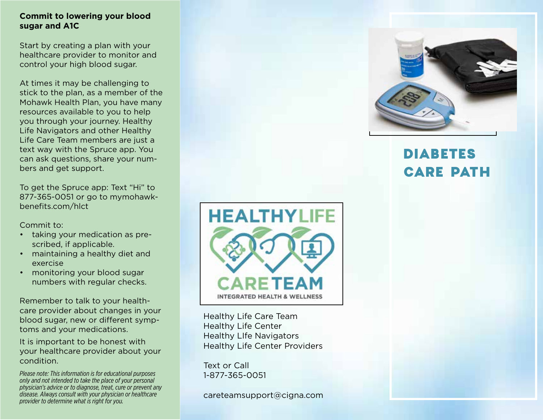#### **Commit to lowering your blood sugar and A1C**

Start by creating a plan with your healthcare provider to monitor and control your high blood sugar.

At times it may be challenging to stick to the plan, as a member of the Mohawk Health Plan, you have many resources available to you to help you through your journey. Healthy Life Navigators and other Healthy Life Care Team members are just a text way with the Spruce app. You can ask questions, share your numbers and get support.

To get the Spruce app: Text "Hi" to 877-365-0051 or go to mymohawkbenefits.com/hlct

Commit to:

- taking your medication as prescribed, if applicable.
- maintaining a healthy diet and exercise
- monitoring your blood sugar numbers with regular checks.

Remember to talk to your healthcare provider about changes in your blood sugar, new or different symptoms and your medications.

It is important to be honest with your healthcare provider about your condition.

*Please note: This information is for educational purposes only and not intended to take the place of your personal physician's advice or to diagnose, treat, cure or prevent any disease. Always consult with your physician or healthcare provider to determine what is right for you.*



Healthy Life Care Team Healthy Life Center Healthy LIfe Navigators Healthy Life Center Providers

Text or Call 1-877-365-0051

careteamsupport@cigna.com



# DIABETES CARE PATH